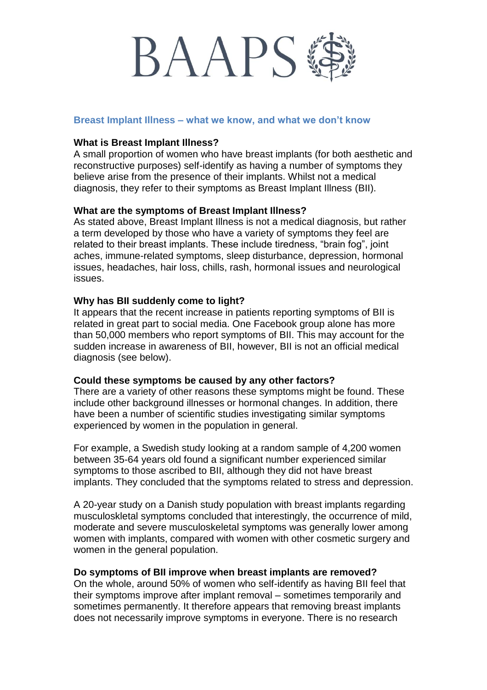# **BAAPS**

#### **Breast Implant Illness – what we know, and what we don't know**

#### **What is Breast Implant Illness?**

A small proportion of women who have breast implants (for both aesthetic and reconstructive purposes) self-identify as having a number of symptoms they believe arise from the presence of their implants. Whilst not a medical diagnosis, they refer to their symptoms as Breast Implant Illness (BII).

#### **What are the symptoms of Breast Implant Illness?**

As stated above, Breast Implant Illness is not a medical diagnosis, but rather a term developed by those who have a variety of symptoms they feel are related to their breast implants. These include tiredness, "brain fog", joint aches, immune-related symptoms, sleep disturbance, depression, hormonal issues, headaches, hair loss, chills, rash, hormonal issues and neurological issues.

#### **Why has BII suddenly come to light?**

It appears that the recent increase in patients reporting symptoms of BII is related in great part to social media. One Facebook group alone has more than 50,000 members who report symptoms of BII. This may account for the sudden increase in awareness of BII, however, BII is not an official medical diagnosis (see below).

#### **Could these symptoms be caused by any other factors?**

There are a variety of other reasons these symptoms might be found. These include other background illnesses or hormonal changes. In addition, there have been a number of scientific studies investigating similar symptoms experienced by women in the population in general.

For example, a Swedish study looking at a random sample of 4,200 women between 35-64 years old found a significant number experienced similar symptoms to those ascribed to BII, although they did not have breast implants. They concluded that the symptoms related to stress and depression.

A 20-year study on a Danish study population with breast implants regarding musculoskletal symptoms concluded that interestingly, the occurrence of mild, moderate and severe musculoskeletal symptoms was generally lower among women with implants, compared with women with other cosmetic surgery and women in the general population.

## **Do symptoms of BII improve when breast implants are removed?**

On the whole, around 50% of women who self-identify as having BII feel that their symptoms improve after implant removal – sometimes temporarily and sometimes permanently. It therefore appears that removing breast implants does not necessarily improve symptoms in everyone. There is no research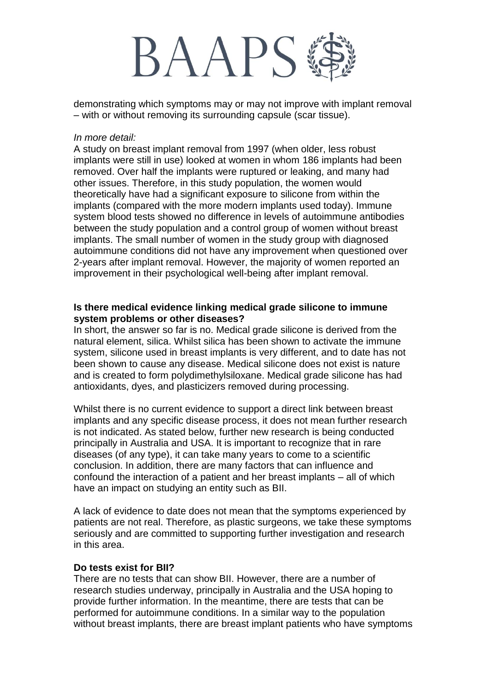# **BAAPS**

demonstrating which symptoms may or may not improve with implant removal – with or without removing its surrounding capsule (scar tissue).

#### *In more detail:*

A study on breast implant removal from 1997 (when older, less robust implants were still in use) looked at women in whom 186 implants had been removed. Over half the implants were ruptured or leaking, and many had other issues. Therefore, in this study population, the women would theoretically have had a significant exposure to silicone from within the implants (compared with the more modern implants used today). Immune system blood tests showed no difference in levels of autoimmune antibodies between the study population and a control group of women without breast implants. The small number of women in the study group with diagnosed autoimmune conditions did not have any improvement when questioned over 2-years after implant removal. However, the majority of women reported an improvement in their psychological well-being after implant removal.

## **Is there medical evidence linking medical grade silicone to immune system problems or other diseases?**

In short, the answer so far is no. Medical grade silicone is derived from the natural element, silica. Whilst silica has been shown to activate the immune system, silicone used in breast implants is very different, and to date has not been shown to cause any disease. Medical silicone does not exist is nature and is created to form polydimethylsiloxane. Medical grade silicone has had antioxidants, dyes, and plasticizers removed during processing.

Whilst there is no current evidence to support a direct link between breast implants and any specific disease process, it does not mean further research is not indicated. As stated below, further new research is being conducted principally in Australia and USA. It is important to recognize that in rare diseases (of any type), it can take many years to come to a scientific conclusion. In addition, there are many factors that can influence and confound the interaction of a patient and her breast implants – all of which have an impact on studying an entity such as BII.

A lack of evidence to date does not mean that the symptoms experienced by patients are not real. Therefore, as plastic surgeons, we take these symptoms seriously and are committed to supporting further investigation and research in this area.

## **Do tests exist for BII?**

There are no tests that can show BII. However, there are a number of research studies underway, principally in Australia and the USA hoping to provide further information. In the meantime, there are tests that can be performed for autoimmune conditions. In a similar way to the population without breast implants, there are breast implant patients who have symptoms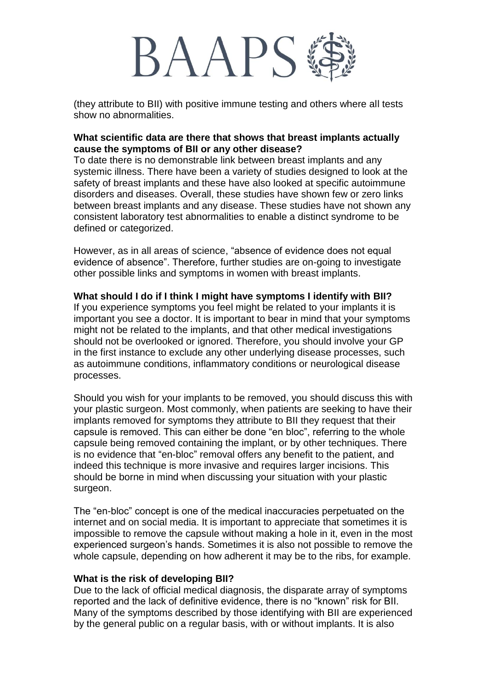## BAAPS

(they attribute to BII) with positive immune testing and others where all tests show no abnormalities.

## **What scientific data are there that shows that breast implants actually cause the symptoms of BII or any other disease?**

To date there is no demonstrable link between breast implants and any systemic illness. There have been a variety of studies designed to look at the safety of breast implants and these have also looked at specific autoimmune disorders and diseases. Overall, these studies have shown few or zero links between breast implants and any disease. These studies have not shown any consistent laboratory test abnormalities to enable a distinct syndrome to be defined or categorized.

However, as in all areas of science, "absence of evidence does not equal evidence of absence". Therefore, further studies are on-going to investigate other possible links and symptoms in women with breast implants.

## **What should I do if I think I might have symptoms I identify with BII?**

If you experience symptoms you feel might be related to your implants it is important you see a doctor. It is important to bear in mind that your symptoms might not be related to the implants, and that other medical investigations should not be overlooked or ignored. Therefore, you should involve your GP in the first instance to exclude any other underlying disease processes, such as autoimmune conditions, inflammatory conditions or neurological disease processes.

Should you wish for your implants to be removed, you should discuss this with your plastic surgeon. Most commonly, when patients are seeking to have their implants removed for symptoms they attribute to BII they request that their capsule is removed. This can either be done "en bloc", referring to the whole capsule being removed containing the implant, or by other techniques. There is no evidence that "en-bloc" removal offers any benefit to the patient, and indeed this technique is more invasive and requires larger incisions. This should be borne in mind when discussing your situation with your plastic surgeon.

The "en-bloc" concept is one of the medical inaccuracies perpetuated on the internet and on social media. It is important to appreciate that sometimes it is impossible to remove the capsule without making a hole in it, even in the most experienced surgeon's hands. Sometimes it is also not possible to remove the whole capsule, depending on how adherent it may be to the ribs, for example.

#### **What is the risk of developing BII?**

Due to the lack of official medical diagnosis, the disparate array of symptoms reported and the lack of definitive evidence, there is no "known" risk for BII. Many of the symptoms described by those identifying with BII are experienced by the general public on a regular basis, with or without implants. It is also